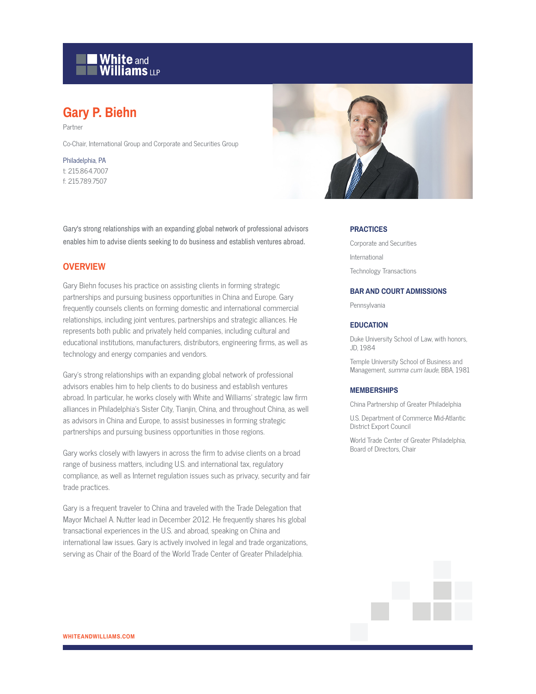# **White and Williams LLP**

# **Gary P. Biehn**

Partner

Co-Chair, International Group and Corporate and Securities Group

Philadelphia, PA t: 215.864.7007 f: 215.789.7507

Gary's strong relationships with an expanding global network of professional advisors enables him to advise clients seeking to do business and establish ventures abroad.

# **OVERVIEW**

Gary Biehn focuses his practice on assisting clients in forming strategic partnerships and pursuing business opportunities in China and Europe. Gary frequently counsels clients on forming domestic and international commercial relationships, including joint ventures, partnerships and strategic alliances. He represents both public and privately held companies, including cultural and educational institutions, manufacturers, distributors, engineering firms, as well as technology and energy companies and vendors.

Gary's strong relationships with an expanding global network of professional advisors enables him to help clients to do business and establish ventures abroad. In particular, he works closely with White and Williams' strategic law firm alliances in Philadelphia's Sister City, Tianjin, China, and throughout China, as well as advisors in China and Europe, to assist businesses in forming strategic partnerships and pursuing business opportunities in those regions.

Gary works closely with lawyers in across the firm to advise clients on a broad range of business matters, including U.S. and international tax, regulatory compliance, as well as Internet regulation issues such as privacy, security and fair trade practices.

Gary is a frequent traveler to China and traveled with the Trade Delegation that Mayor Michael A. Nutter lead in December 2012. He frequently shares his global transactional experiences in the U.S. and abroad, speaking on China and international law issues. Gary is actively involved in legal and trade organizations, serving as Chair of the Board of the World Trade Center of Greater Philadelphia.



#### **PRACTICES**

Corporate and Securities International Technology Transactions

#### **BAR AND COURT ADMISSIONS**

Pennsylvania

#### **EDUCATION**

Duke University School of Law, with honors, JD, 1984

Temple University School of Business and Management, summa cum laude, BBA, 1981

#### **MEMBERSHIPS**

China Partnership of Greater Philadelphia

U.S. Department of Commerce Mid-Atlantic District Export Council

World Trade Center of Greater Philadelphia, Board of Directors, Chair

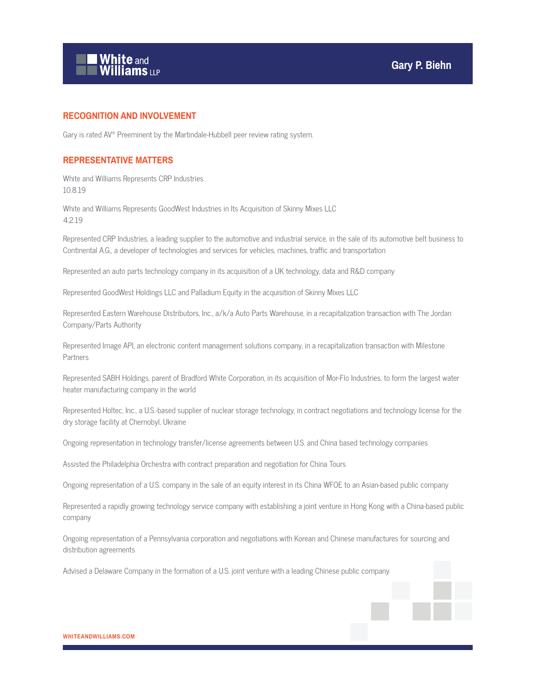

# **RECOGNITION AND INVOLVEMENT**

Gary is rated AV® Preeminent by the Martindale-Hubbell peer review rating system.

### **REPRESENTATIVE MATTERS**

White and Williams Represents CRP Industries 10.8.19

White and Williams Represents GoodWest Industries in Its Acquisition of Skinny Mixes LLC 4.2.19

Represented CRP Industries, a leading supplier to the automotive and industrial service, in the sale of its automotive belt business to Continental A.G., a developer of technologies and services for vehicles, machines, traffic and transportation

Represented an auto parts technology company in its acquisition of a UK technology, data and R&D company

Represented GoodWest Holdings LLC and Palladium Equity in the acquisition of Skinny Mixes LLC

Represented Eastern Warehouse Distributors, Inc., a/k/a Auto Parts Warehouse, in a recapitalization transaction with The Jordan Company/Parts Authority

Represented Image API, an electronic content management solutions company, in a recapitalization transaction with Milestone Partners

Represented SABH Holdings, parent of Bradford White Corporation, in its acquisition of Mor-Flo Industries, to form the largest water heater manufacturing company in the world

Represented Holtec, Inc., a U.S.-based supplier of nuclear storage technology, in contract negotiations and technology license for the dry storage facility at Chernobyl, Ukraine

Ongoing representation in technology transfer/license agreements between U.S. and China based technology companies

Assisted the Philadelphia Orchestra with contract preparation and negotiation for China Tours

Ongoing representation of a U.S. company in the sale of an equity interest in its China WFOE to an Asian-based public company

Represented a rapidly growing technology service company with establishing a joint venture in Hong Kong with a China-based public company

Ongoing representation of a Pennsylvania corporation and negotiations with Korean and Chinese manufactures for sourcing and distribution agreements

Advised a Delaware Company in the formation of a U.S. joint venture with a leading Chinese public company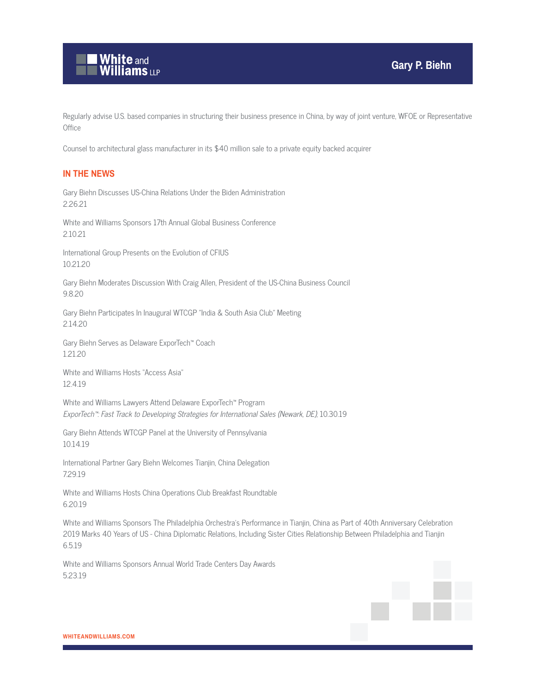

Regularly advise U.S. based companies in structuring their business presence in China, by way of joint venture, WFOE or Representative **Office** 

Counsel to architectural glass manufacturer in its \$40 million sale to a private equity backed acquirer

# **IN THE NEWS**

Gary Biehn Discusses US-China Relations Under the Biden Administration 2.26.21

White and Williams Sponsors 17th Annual Global Business Conference 2.10.21

International Group Presents on the Evolution of CFIUS 10.21.20

Gary Biehn Moderates Discussion With Craig Allen, President of the US-China Business Council 9.8.20

Gary Biehn Participates In Inaugural WTCGP "India & South Asia Club" Meeting 2.14.20

Gary Biehn Serves as Delaware ExporTech™ Coach 1.21.20

White and Williams Hosts "Access Asia" 12.4.19

White and Williams Lawyers Attend Delaware ExporTech™ Program ExporTech™: Fast Track to Developing Strategies for International Sales (Newark, DE), 10.30.19

Gary Biehn Attends WTCGP Panel at the University of Pennsylvania 10.14.19

International Partner Gary Biehn Welcomes Tianjin, China Delegation 7.29.19

White and Williams Hosts China Operations Club Breakfast Roundtable 6.20.19

White and Williams Sponsors The Philadelphia Orchestra's Performance in Tianjin, China as Part of 40th Anniversary Celebration 2019 Marks 40 Years of US - China Diplomatic Relations, Including Sister Cities Relationship Between Philadelphia and Tianjin 6.5.19

White and Williams Sponsors Annual World Trade Centers Day Awards 5.23.19

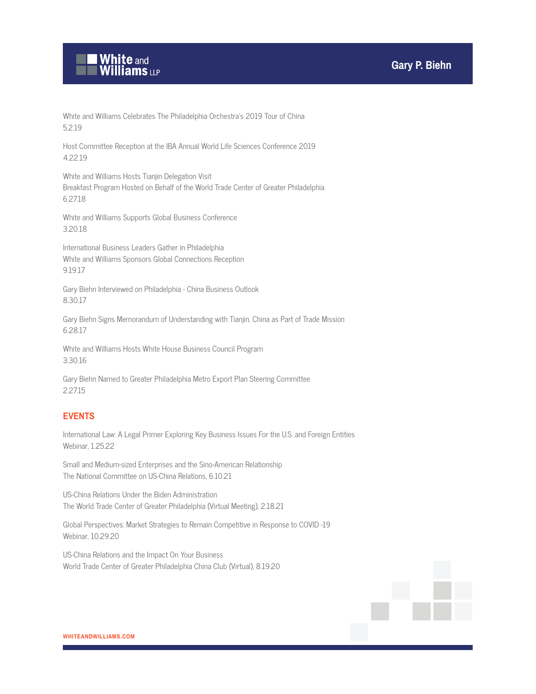

White and Williams Celebrates The Philadelphia Orchestra's 2019 Tour of China 5.2.19

Host Committee Reception at the IBA Annual World Life Sciences Conference 2019 4.22.19

White and Williams Hosts Tianjin Delegation Visit Breakfast Program Hosted on Behalf of the World Trade Center of Greater Philadelphia 6.27.18

White and Williams Supports Global Business Conference 3.20.18

International Business Leaders Gather in Philadelphia White and Williams Sponsors Global Connections Reception 9.19.17

Gary Biehn Interviewed on Philadelphia - China Business Outlook 8.30.17

Gary Biehn Signs Memorandum of Understanding with Tianjin, China as Part of Trade Mission 6.28.17

White and Williams Hosts White House Business Council Program 3.30.16

Gary Biehn Named to Greater Philadelphia Metro Export Plan Steering Committee 2.27.15

# **EVENTS**

International Law: A Legal Primer Exploring Key Business Issues For the U.S. and Foreign Entities Webinar, 1.25.22

Small and Medium-sized Enterprises and the Sino-American Relationship The National Committee on US-China Relations, 6.10.21

US-China Relations Under the Biden Administration The World Trade Center of Greater Philadelphia (Virtual Meeting), 2.18.21

Global Perspectives: Market Strategies to Remain Competitive in Response to COVID -19 Webinar, 10.29.20

US-China Relations and the Impact On Your Business World Trade Center of Greater Philadelphia China Club (Virtual), 8.19.20